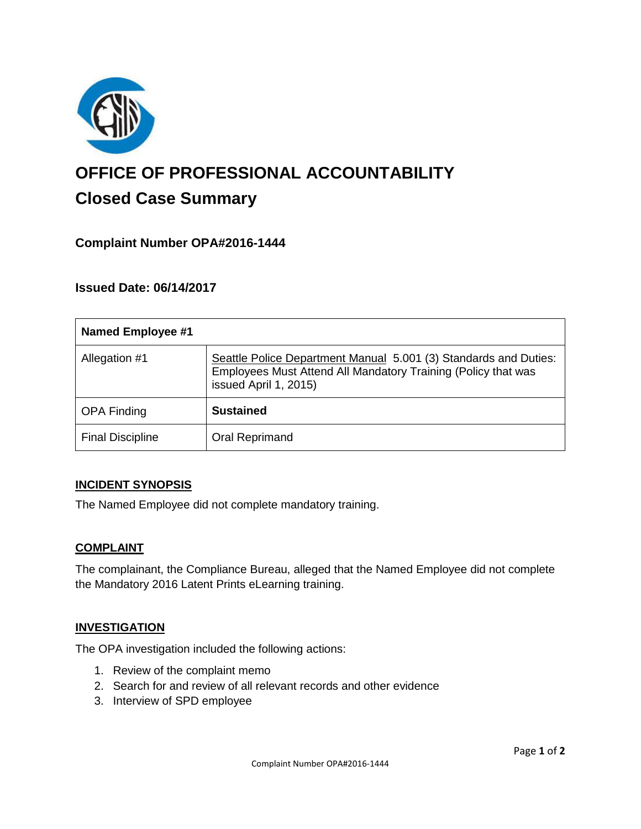

# **OFFICE OF PROFESSIONAL ACCOUNTABILITY Closed Case Summary**

## **Complaint Number OPA#2016-1444**

## **Issued Date: 06/14/2017**

| <b>Named Employee #1</b> |                                                                                                                                                            |
|--------------------------|------------------------------------------------------------------------------------------------------------------------------------------------------------|
| Allegation #1            | Seattle Police Department Manual 5.001 (3) Standards and Duties:<br>Employees Must Attend All Mandatory Training (Policy that was<br>issued April 1, 2015) |
| <b>OPA Finding</b>       | <b>Sustained</b>                                                                                                                                           |
| <b>Final Discipline</b>  | Oral Reprimand                                                                                                                                             |

#### **INCIDENT SYNOPSIS**

The Named Employee did not complete mandatory training.

#### **COMPLAINT**

The complainant, the Compliance Bureau, alleged that the Named Employee did not complete the Mandatory 2016 Latent Prints eLearning training.

#### **INVESTIGATION**

The OPA investigation included the following actions:

- 1. Review of the complaint memo
- 2. Search for and review of all relevant records and other evidence
- 3. Interview of SPD employee